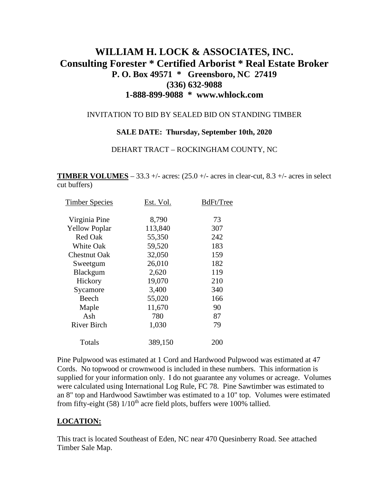# **WILLIAM H. LOCK & ASSOCIATES, INC. Consulting Forester \* Certified Arborist \* Real Estate Broker P. O. Box 49571 \* Greensboro, NC 27419 (336) 632-9088 1-888-899-9088 \* www.whlock.com**

### INVITATION TO BID BY SEALED BID ON STANDING TIMBER

#### **SALE DATE: Thursday, September 10th, 2020**

#### DEHART TRACT – ROCKINGHAM COUNTY, NC

**TIMBER VOLUMES** – 33.3 +/- acres:  $(25.0 +/- 1.0)$  acres in clear-cut, 8.3 +/- acres in select cut buffers)

| <b>Timber Species</b> | Est. Vol. | BdFt/Tree |
|-----------------------|-----------|-----------|
| Virginia Pine         | 8,790     | 73        |
| <b>Yellow Poplar</b>  | 113,840   | 307       |
| <b>Red Oak</b>        | 55,350    | 242       |
| White Oak             | 59,520    | 183       |
| <b>Chestnut Oak</b>   | 32,050    | 159       |
| Sweetgum              | 26,010    | 182       |
| Blackgum              | 2,620     | 119       |
| Hickory               | 19,070    | 210       |
| Sycamore              | 3,400     | 340       |
| Beech                 | 55,020    | 166       |
| Maple                 | 11,670    | 90        |
| Ash                   | 780       | 87        |
| River Birch           | 1,030     | 79        |
| Totals                | 389,150   | 200       |
|                       |           |           |

Pine Pulpwood was estimated at 1 Cord and Hardwood Pulpwood was estimated at 47 Cords. No topwood or crownwood is included in these numbers. This information is supplied for your information only. I do not guarantee any volumes or acreage. Volumes were calculated using International Log Rule, FC 78. Pine Sawtimber was estimated to an 8" top and Hardwood Sawtimber was estimated to a 10" top. Volumes were estimated from fifty-eight (58)  $1/10^{th}$  acre field plots, buffers were 100% tallied.

### **LOCATION:**

This tract is located Southeast of Eden, NC near 470 Quesinberry Road. See attached Timber Sale Map.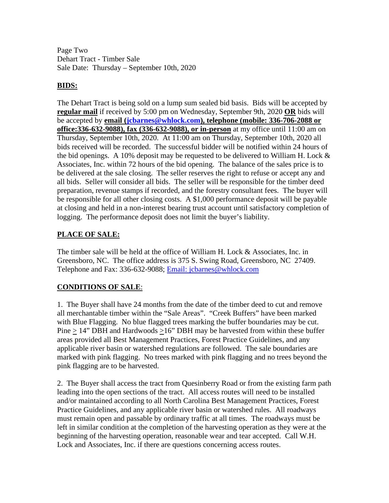Page Two Dehart Tract - Timber Sale Sale Date: Thursday – September 10th, 2020

### **BIDS:**

The Dehart Tract is being sold on a lump sum sealed bid basis. Bids will be accepted by **regular mail** if received by 5:00 pm on Wednesday, September 9th, 2020 **OR** bids will be accepted by **email [\(jcbarnes@whlock.com\)](mailto:jcbarnes@whlock.com), telephone (mobile: 336-706-2088 or office:336-632-9088), fax (336-632-9088), or in-person** at my office until 11:00 am on Thursday, September 10th, 2020. At 11:00 am on Thursday, September 10th, 2020 all bids received will be recorded. The successful bidder will be notified within 24 hours of the bid openings. A 10% deposit may be requested to be delivered to William H. Lock  $\&$ Associates, Inc. within 72 hours of the bid opening. The balance of the sales price is to be delivered at the sale closing. The seller reserves the right to refuse or accept any and all bids. Seller will consider all bids. The seller will be responsible for the timber deed preparation, revenue stamps if recorded, and the forestry consultant fees. The buyer will be responsible for all other closing costs. A \$1,000 performance deposit will be payable at closing and held in a non-interest bearing trust account until satisfactory completion of logging. The performance deposit does not limit the buyer's liability.

### **PLACE OF SALE:**

The timber sale will be held at the office of William H. Lock & Associates, Inc. in Greensboro, NC. The office address is 375 S. Swing Road, Greensboro, NC 27409. Telephone and Fax: 336-632-9088; [Email: jcbarnes@whlock.com](mailto:Email:%20jcbarnes@whlock.com) 

## **CONDITIONS OF SALE**:

1. The Buyer shall have 24 months from the date of the timber deed to cut and remove all merchantable timber within the "Sale Areas". "Creek Buffers" have been marked with Blue Flagging. No blue flagged trees marking the buffer boundaries may be cut. Pine  $> 14$ " DBH and Hardwoods  $> 16$ " DBH may be harvested from within these buffer areas provided all Best Management Practices, Forest Practice Guidelines, and any applicable river basin or watershed regulations are followed. The sale boundaries are marked with pink flagging. No trees marked with pink flagging and no trees beyond the pink flagging are to be harvested.

2. The Buyer shall access the tract from Quesinberry Road or from the existing farm path leading into the open sections of the tract. All access routes will need to be installed and/or maintained according to all North Carolina Best Management Practices, Forest Practice Guidelines, and any applicable river basin or watershed rules. All roadways must remain open and passable by ordinary traffic at all times. The roadways must be left in similar condition at the completion of the harvesting operation as they were at the beginning of the harvesting operation, reasonable wear and tear accepted. Call W.H. Lock and Associates, Inc. if there are questions concerning access routes.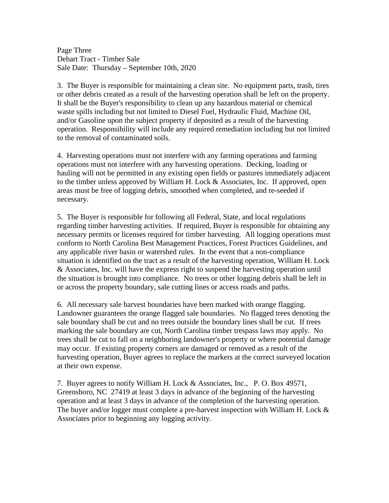Page Three Dehart Tract - Timber Sale Sale Date: Thursday – September 10th, 2020

3. The Buyer is responsible for maintaining a clean site. No equipment parts, trash, tires or other debris created as a result of the harvesting operation shall be left on the property. It shall be the Buyer's responsibility to clean up any hazardous material or chemical waste spills including but not limited to Diesel Fuel, Hydraulic Fluid, Machine Oil, and/or Gasoline upon the subject property if deposited as a result of the harvesting operation. Responsibility will include any required remediation including but not limited to the removal of contaminated soils.

4. Harvesting operations must not interfere with any farming operations and farming operations must not interfere with any harvesting operations. Decking, loading or hauling will not be permitted in any existing open fields or pastures immediately adjacent to the timber unless approved by William H. Lock & Associates, Inc. If approved, open areas must be free of logging debris, smoothed when completed, and re-seeded if necessary.

5. The Buyer is responsible for following all Federal, State, and local regulations regarding timber harvesting activities. If required, Buyer is responsible for obtaining any necessary permits or licenses required for timber harvesting. All logging operations must conform to North Carolina Best Management Practices, Forest Practices Guidelines, and any applicable river basin or watershed rules. In the event that a non-compliance situation is identified on the tract as a result of the harvesting operation, William H. Lock & Associates, Inc. will have the express right to suspend the harvesting operation until the situation is brought into compliance. No trees or other logging debris shall be left in or across the property boundary, sale cutting lines or access roads and paths.

6. All necessary sale harvest boundaries have been marked with orange flagging. Landowner guarantees the orange flagged sale boundaries. No flagged trees denoting the sale boundary shall be cut and no trees outside the boundary lines shall be cut. If trees marking the sale boundary are cut, North Carolina timber trespass laws may apply. No trees shall be cut to fall on a neighboring landowner's property or where potential damage may occur. If existing property corners are damaged or removed as a result of the harvesting operation, Buyer agrees to replace the markers at the correct surveyed location at their own expense.

7. Buyer agrees to notify William H. Lock & Associates, Inc., P. O. Box 49571, Greensboro, NC 27419 at least 3 days in advance of the beginning of the harvesting operation and at least 3 days in advance of the completion of the harvesting operation. The buyer and/or logger must complete a pre-harvest inspection with William H. Lock & Associates prior to beginning any logging activity.